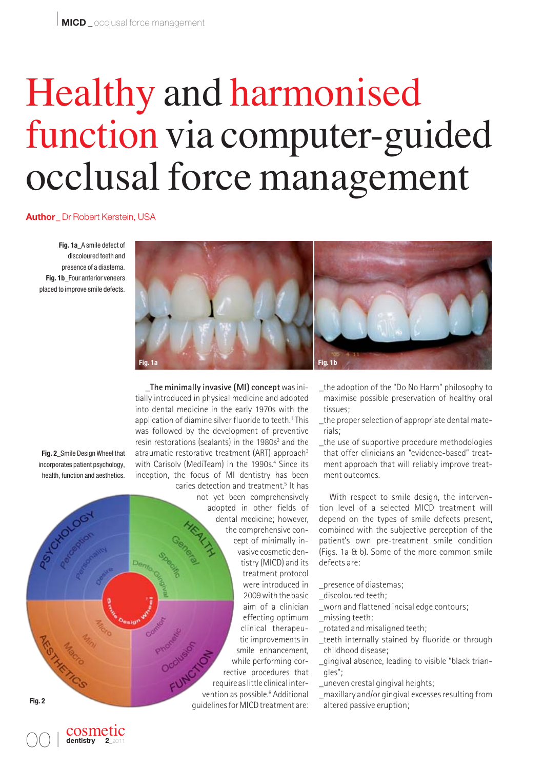# Healthy and harmonised function via computer-guided occlusal force management

**Author\_** Dr Robert Kerstein, USA

**Fig. 1a\_**A smile defect of discoloured teeth and presence of a diastema. **Fig. 1b\_**Four anterior veneers placed to improve smile defects.



**\_The minimally invasive (MI) concept**was initially introduced in physical medicine and adopted into dental medicine in the early 1970s with the application of diamine silver fluoride to teeth.<sup>1</sup> This was followed by the development of preventive resin restorations (sealants) in the 1980s<sup>2</sup> and the atraumatic restorative treatment (ART) approach<sup>3</sup> with Carisoly (MediTeam) in the 1990s.<sup>4</sup> Since its inception, the focus of MI dentistry has been caries detection and treatment.<sup>5</sup> It has

**Fig. 2\_**Smile Design Wheel that incorporates patient psychology, health, function and aesthetics.



- \_the adoption of the "Do No Harm" philosophy to maximise possible preservation of healthy oral tissues;
- \_the proper selection of appropriate dental materials;
- \_the use of supportive procedure methodologies that offer clinicians an "evidence-based" treatment approach that will reliably improve treatment outcomes.

With respect to smile design, the intervention level of a selected MICD treatment will depend on the types of smile defects present, com bined with the subjective perception of the patient's own pre-treatment smile condition (Figs. 1a & b). Some of the more common smile defects are:

- \_presence of diastemas;
- discoloured teeth;
- \_worn and flattened incisal edge contours;
- \_missing teeth;
- \_rotated and misaligned teeth;
- \_teeth internally stained by fluoride or through childhood disease;
- \_gingival absence, leading to visible "black triangles";
- \_uneven crestal gingival heights;
- maxillary and/or gingival excesses resulting from altered passive eruption;

00 I

cosmetic dentistry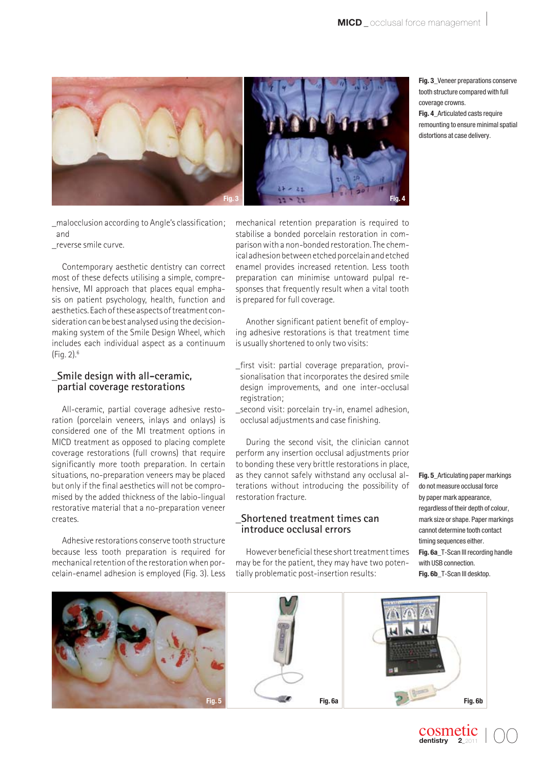

\_malocclusion according to Angle's classification; and

\_reverse smile curve.

Contemporary aesthetic dentistry can correct most of these defects utilising a simple, comprehensive, MI approach that places equal emphasis on patient psychology, health, function and aesthetics. Each of these aspects of treatment con sideration can be best analysed using the decisionmaking system of the Smile Design Wheel, which includes each individual aspect as a continuum (Fig. 2).6

## **\_Smile design with all-ceramic, partial coverage restorations**

All-ceramic, partial coverage adhesive restoration (porcelain veneers, inlays and onlays) is considered one of the MI treatment options in MICD treatment as opposed to placing complete coverage restorations (full crowns) that require significantly more tooth preparation. In certain situations, no-preparation veneers may be placed but only if the final aesthetics will not be compromised by the added thickness of the labio-lingual restorative material that a no-preparation veneer creates.

Adhesive restorations conserve tooth structure because less tooth preparation is required for mechanical retention of the restoration when por celain-enamel adhesion is employed (Fig. 3). Less



mechanical retention preparation is required to stabilise a bonded porcelain restoration in comparison with a non-bonded restoration. The chemical adhesion between etched porcelain and etched enamel provides increased retention. Less tooth preparation can minimise untoward pulpal responses that frequently result when a vital tooth is prepared for full coverage.

Another significant patient benefit of employing adhesive restorations is that treatment time is usually shortened to only two visits:

- first visit: partial coverage preparation, provisionalisation that incorporates the desired smile design improvements, and one inter-occlusal registration;
- \_second visit: porcelain try-in, enamel adhesion, occlusal adjustments and case finishing.

During the second visit, the clinician cannot perform any insertion occlusal adjustments prior to bonding these very brittle restorations in place, as they cannot safely withstand any occlusal alterations without introducing the possibility of restoration fracture.

# **\_Shortened treatment times can introduce occlusal errors**

However beneficial these short treatment times may be for the patient, they may have two potentially problematic post-insertion results:

**Fig. 5\_**Articulating paper markings do not measure occlusal force by paper mark appearance, regardless of their depth of colour, mark size or shape. Paper markings cannot determine tooth contact timing sequences either. **Fig. 6a\_**T-Scan III recording handle with USB connection. **Fig. 6b\_**T-Scan III desktop.

I 00

cosmetic dentistry



**Fig. 3\_**Veneer preparations conserve tooth structure compared with full coverage crowns.

**Fig. 4\_**Articulated casts require remounting to ensure minimal spatial distortions at case delivery.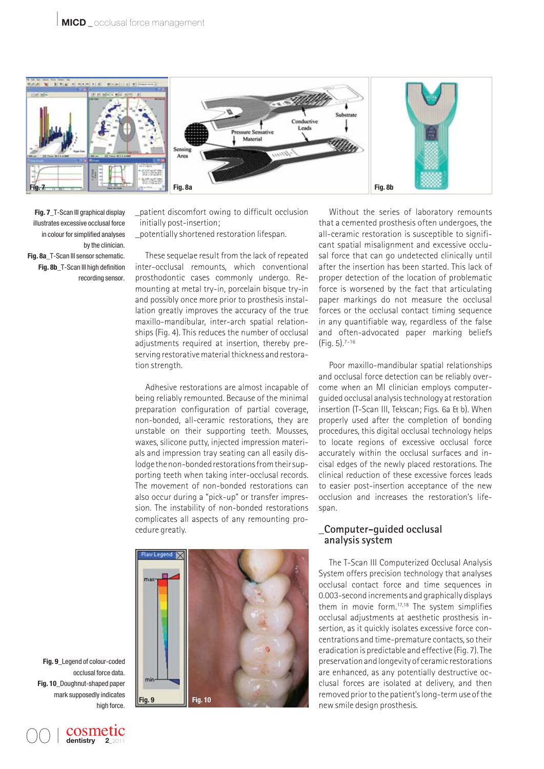

**Fig. 7\_**T-Scan III graphical display illustrates excessive occlusal force in colour for simplified analyses by the clinician. **Fig. 8a\_**T-Scan III sensor schematic.

**Fig. 8b** T-Scan III high definition recording sensor.

\_patient discomfort owing to difficult occlusion initially post-insertion; \_potentially shortened restoration lifespan.

These sequelae result from the lack of repeated inter-occlusal remounts, which conventional prosthodontic cases commonly undergo. Remounting at metal try-in, porcelain bisque try-in and possibly once more prior to prosthesis installation greatly improves the accuracy of the true maxillo-mandibular, inter-arch spatial relationships (Fig. 4). This reduces the number of occlusal adjustments required at insertion, thereby preserving restorative material thickness and restoration strength.

Adhesive restorations are almost incapable of being reliably remounted. Because of the minimal preparation configuration of partial coverage, non-bonded, all-ceramic restorations, they are unstable on their supporting teeth. Mousses, waxes, silicone putty, injected impression materials and impression tray seating can all easily dislodge the non-bonded restorations from their supporting teeth when taking inter-occlusal records. The movement of non-bonded restorations can also occur during a "pick-up" or transfer impression. The instability of non-bonded restorations complicates all aspects of any remounting procedure greatly.

**Fig. 9 Fig. 10**

Without the series of laboratory remounts that a cemented prosthesis often undergoes, the all- ceramic restoration is susceptible to significant spatial misalignment and excessive occlusal force that can go undetected clinically until after the insertion has been started. This lack of proper detection of the location of problematic force is worsened by the fact that articulating paper markings do not measure the occlusal forces or the occlusal contact timing sequence in any quantifiable way, regardless of the false and often-advocated paper marking beliefs (Fig. 5).7–16

Poor maxillo-mandibular spatial relationships and occlusal force detection can be reliably overcome when an MI clinician employs computerguided occlusal analysis technology at restoration insertion (T-Scan III, Tekscan; Figs. 6a & b). When properly used after the completion of bonding procedures, this digital occlusal technology helps to locate regions of excessive occlusal force accurately within the occlusal surfaces and incisal edges of the newly placed restorations. The clinical reduction of these excessive forces leads to easier post-insertion acceptance of the new occlusion and increases the restoration's lifespan.

### **\_Computer-guided occlusal analysis system**

The T-Scan III Computerized Occlusal Analysis System offers precision technology that analyses occlusal contact force and time sequences in 0.003-second increments and graphically displays them in movie form.17,18 The system simplifies occlusal adjustments at aesthetic prosthesis in sertion, as it quickly isolates excessive force concentrations and time-premature contacts, so their eradication is predictable and effective (Fig. 7). The preservation and longevity of ceramic restorations are enhanced, as any potentially destructive occlusal forces are isolated at delivery, and then removed prior to the patient's long-term use of the new smile design prosthesis.

**Fig. 9\_**Legend of colour-coded occlusal force data. **Fig. 10\_**Doughnut-shaped paper mark supposedly indicates high force.

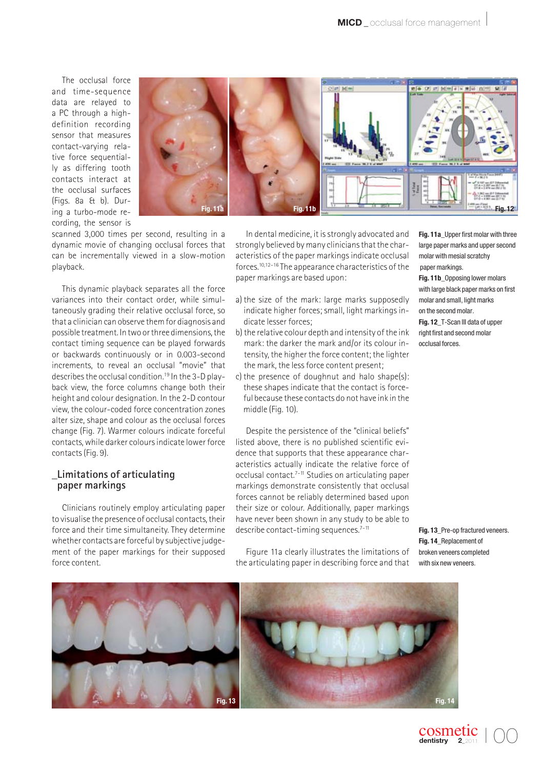The occlusal force and time-sequence data are relayed to a PC through a highdefinition recording sensor that measures contact-varying relative force sequentially as differing tooth contacts interact at the occlusal surfaces (Figs. 8a & b). During a turbo-mode recording, the sensor is



scanned 3,000 times per second, resulting in a dynamic movie of changing occlusal forces that can be incrementally viewed in a slow-motion playback.

This dynamic playback separates all the force variances into their contact order, while simultaneously grading their relative occlusal force, so that a clinician can observe them for diagnosis and possible treatment. In two or three dimensions, the contact timing sequence can be played forwards or backwards continuously or in 0.003-second increments, to reveal an occlusal "movie" that describes the occlusal condition.19 In the 3-D playback view, the force columns change both their height and colour designation. In the 2-D contour view, the colour-coded force concentration zones alter size, shape and colour as the occlusal forces change (Fig. 7). Warmer colours indicate forceful contacts, while darker colours indicate lower force contacts (Fig. 9).

#### **\_Limitations of articulating paper markings**

Clinicians routinely employ articulating paper to visualise the presence of occlusal contacts, their force and their time simultaneity. They determine whether contacts are forceful by subjective judgement of the paper markings for their supposed force content.

In dental medicine, it is strongly advocated and strongly believed by many clinicians that the characteristics of the paper markings indicate occlusal forces.10,12–16 The appearance characteristics of the paper markings are based upon:

- a) the size of the mark: large marks supposedly indicate higher forces; small, light markings indicate lesser forces;
- b) the relative colour depth and intensity of the ink mark: the darker the mark and/or its colour in tensity, the higher the force content; the lighter the mark, the less force content present;
- c) the presence of doughnut and halo shape(s): these shapes indicate that the contact is forceful because these contacts do not have ink in the middle (Fig. 10).

Despite the persistence of the "clinical beliefs" listed above, there is no published scientific evidence that supports that these appearance characteristics actually indicate the relative force of occlusal contact.<sup>7-11</sup> Studies on articulating paper markings demonstrate consistently that occlusal forces cannot be reliably determined based upon their size or colour. Additionally, paper markings have never been shown in any study to be able to describe contact-timing sequences.<sup>7-11</sup>

Figure 11a clearly illustrates the limitations of the articulating paper in describing force and that **Fig. 11a\_**Upper first molar with three large paper marks and upper second molar with mesial scratchy paper markings.

**Fig. 11b\_**Opposing lower molars with large black paper marks on first molar and small, light marks on the second molar.

**Fig. 12\_**T-Scan III data of upper right first and second molar occlusal forces.

**Fig. 13\_**Pre-op fractured veneers. **Fig. 14\_**Replacement of broken veneers completed with six new veneers.



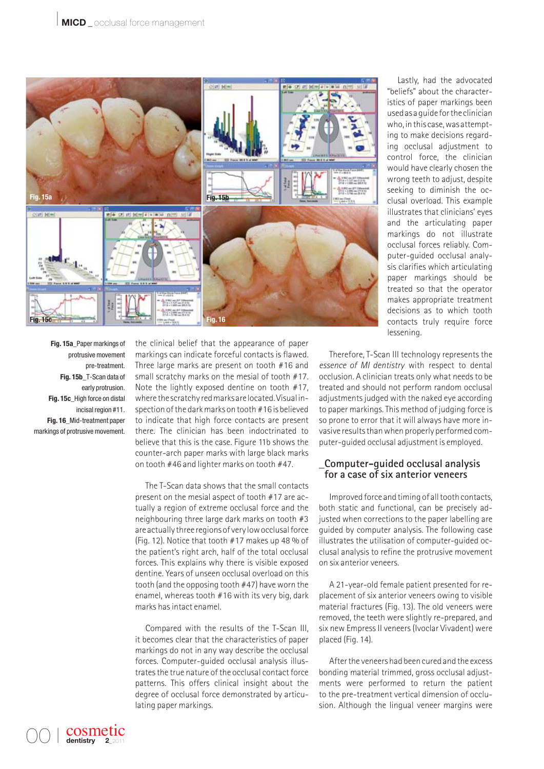

**Fig. 15a\_**Paper markings of protrusive movement pre-treatment. **Fig. 15b\_**T-Scan data of early protrusion. **Fig. 15c\_**High force on distal incisal region #11. **Fig. 16\_**Mid-treatment paper markings of protrusive movement.

the clinical belief that the appearance of paper markings can indicate forceful contacts is flawed. Three large marks are present on tooth #16 and small scratchy marks on the mesial of tooth #17. Note the lightly exposed dentine on tooth #17, where the scratchy red marks are located. Visual inspection of the dark marks on tooth #16 is believed to indicate that high force contacts are present there. The clinician has been indoctrinated to believe that this is the case. Figure 11b shows the counter-arch paper marks with large black marks on tooth #46 and lighter marks on tooth #47.

The T-Scan data shows that the small contacts present on the mesial aspect of tooth #17 are actually a region of extreme occlusal force and the neighbouring three large dark marks on tooth #3 are actually three regions of very low occlusal force (Fig. 12). Notice that tooth #17 makes up 48 % of the patient's right arch, half of the total occlusal forces. This explains why there is visible exposed dentine. Years of unseen occlusal overload on this tooth (and the opposing tooth #47) have worn the enamel, whereas tooth #16 with its very big, dark marks has intact enamel.

Compared with the results of the T-Scan III, it becomes clear that the characteristics of paper markings do not in any way describe the occlusal forces. Computer-guided occlusal analysis illustrates the true nature of the occlusal contact force patterns. This offers clinical insight about the degree of occlusal force demonstrated by articulating paper markings.

Lastly, had the advocated "beliefs" about the characteristics of paper markings been used as a guide for the clinician who, in this case, was attempting to make decisions regarding occlusal adjustment to control force, the clinician would have clearly chosen the wrong teeth to adjust, despite seeking to diminish the occlusal overload. This example illustrates that clinicians' eyes and the articulating paper markings do not illustrate occlusal forces reliably. Computer-guided occlusal analysis clarifies which articulating paper markings should be treated so that the operator makes appropriate treatment decisions as to which tooth contacts truly require force lessening.

Therefore, T-Scan III technology represents the *essence of MI dentistry* with respect to dental occlusion. A clinician treats only what needs to be treated and should not perform random occlusal adjustments judged with the naked eye according to paper markings. This method of judging force is so prone to error that it will always have more invasive results than when properly performed computer-guided occlusal adjustment is employed.

#### **\_Computer-guided occlusal analysis for a case of six anterior veneers**

Improved force and timing of all tooth contacts, both static and functional, can be precisely adjusted when corrections to the paper labelling are guided by computer analysis. The following case illustrates the utilisation of computer-guided occlusal analysis to refine the protrusive movement on six anterior veneers.

A 21-year-old female patient presented for replacement of six anterior veneers owing to visible material fractures (Fig. 13). The old veneers were removed, the teeth were slightly re-prepared, and six new Empress II veneers (Ivoclar Vivadent) were placed (Fig. 14).

After the veneers had been cured and the excess bonding material trimmed, gross occlusal adjustments were performed to return the patient to the pre-treatment vertical dimension of occlusion. Although the lingual veneer margins were

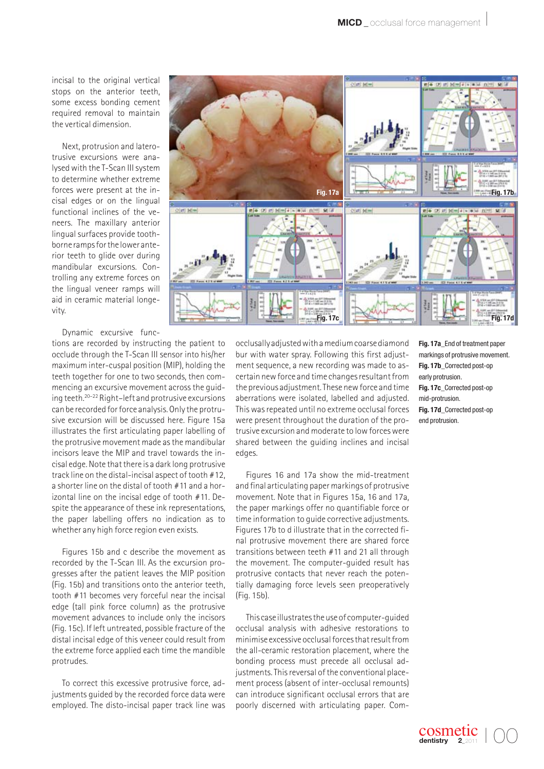incisal to the original vertical stops on the anterior teeth, some excess bonding cement required removal to maintain the vertical dimension.

Next, protrusion and laterotrusive excursions were ana lysed with the T-Scan III system to determine whether extreme forces were present at the incisal edges or on the lingual functional inclines of the veneers. The maxillary anterior lingual surfaces provide toothborne ramps for the lower anterior teeth to glide over during mandibular excursions. Controlling any extreme forces on the lingual veneer ramps will aid in ceramic material longevity.

Dynamic excursive func-

tions are recorded by instructing the patient to occlude through the T-Scan III sensor into his/her maximum inter-cuspal position (MIP), holding the teeth together for one to two seconds, then commencing an excursive movement across the guiding teeth.20–22 Right–left and protrusive excursions can be recorded for force analysis. Only the protrusive excursion will be discussed here. Figure 15a illustrates the first articulating paper labelling of the protrusive movement made as the mandibular incisors leave the MIP and travel towards the incisal edge. Note that there is a dark long protrusive track line on the distal-incisal aspect of tooth #12, a shorter line on the distal of tooth #11 and a horizontal line on the incisal edge of tooth #11. Despite the appearance of these ink representations, the paper labelling offers no indication as to whether any high force region even exists.

Figures 15b and c describe the movement as recorded by the T-Scan III. As the excursion progresses after the patient leaves the MIP position (Fig. 15b) and transitions onto the anterior teeth, tooth #11 becomes very forceful near the incisal edge (tall pink force column) as the protrusive movement advances to include only the incisors (Fig. 15c). If left untreated, possible fracture of the distal incisal edge of this veneer could result from the extreme force applied each time the mandible protrudes.

To correct this excessive protrusive force, adjustments guided by the recorded force data were employed. The disto-incisal paper track line was



occlusally adjusted with a medium coarse diamond bur with water spray. Following this first adjustment sequence, a new recording was made to ascertain new force and time changes resultant from the previous adjustment. These new force and time aberrations were isolated, labelled and adjusted. This was repeated until no extreme occlusal forces were present throughout the duration of the protrusive excursion and moderate to low forces were shared between the guiding inclines and incisal edges.

Figures 16 and 17a show the mid-treatment and final articulating paper markings of protrusive movement. Note that in Figures 15a, 16 and 17a, the paper markings offer no quantifiable force or time information to guide corrective adjustments. Figures 17b to d illustrate that in the corrected final protrusive movement there are shared force transitions between teeth #11 and 21 all through the movement. The computer-guided result has protrusive contacts that never reach the potentially damaging force levels seen preoperatively (Fig. 15b).

This case illustrates the use of computer-guided occlusal analysis with adhesive restorations to minimise excessive occlusal forces that result from the all-ceramic restoration placement, where the bonding process must precede all occlusal adjustments. This reversal of the conventional placement process (absent of inter-occlusal remounts) can introduce significant occlusal errors that are poorly discerned with articulating paper. Com**Fig. 17a\_**End of treatment paper markings of protrusive movement. **Fig. 17b\_**Corrected post-op early protrusion. **Fig. 17c\_**Corrected post-op mid-protrusion. **Fig. 17d\_**Corrected post-op end protrusion.